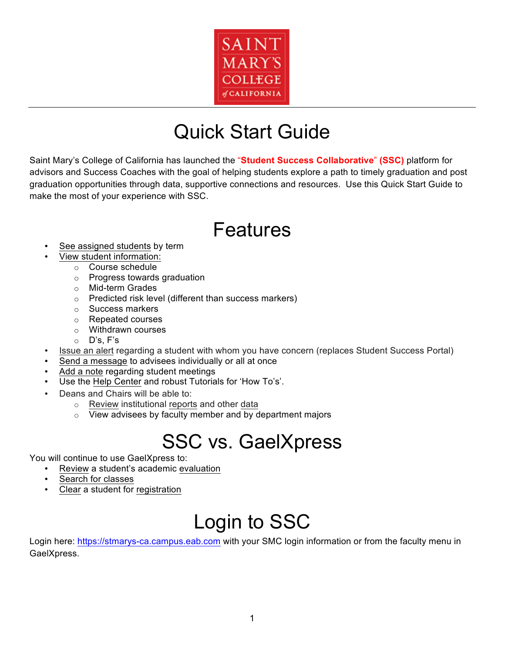

# Quick Start Guide

Saint Mary's College of California has launched the "**Student Success Collaborative**" **(SSC)** platform for advisors and Success Coaches with the goal of helping students explore a path to timely graduation and post graduation opportunities through data, supportive connections and resources. Use this Quick Start Guide to make the most of your experience with SSC.

# Features

- See assigned students by term
	- View student information:
		- o Course schedule
		- o Progress towards graduation
		- o Mid-term Grades
		- $\circ$  Predicted risk level (different than success markers)
		- o Success markers
		- o Repeated courses
		- o Withdrawn courses
		- o D's, F's
- Issue an alert regarding a student with whom you have concern (replaces Student Success Portal)
- Send a message to advisees individually or all at once
- Add a note regarding student meetings
- Use the Help Center and robust Tutorials for 'How To's'.
- Deans and Chairs will be able to:
	- o Review institutional reports and other data
	- $\circ$  View advisees by faculty member and by department majors

# SSC vs. GaelXpress

You will continue to use GaelXpress to:

- Review a student's academic evaluation
- Search for classes
- Clear a student for registration

# Login to SSC

Login here: https://stmarys-ca.campus.eab.com with your SMC login information or from the faculty menu in GaelXpress.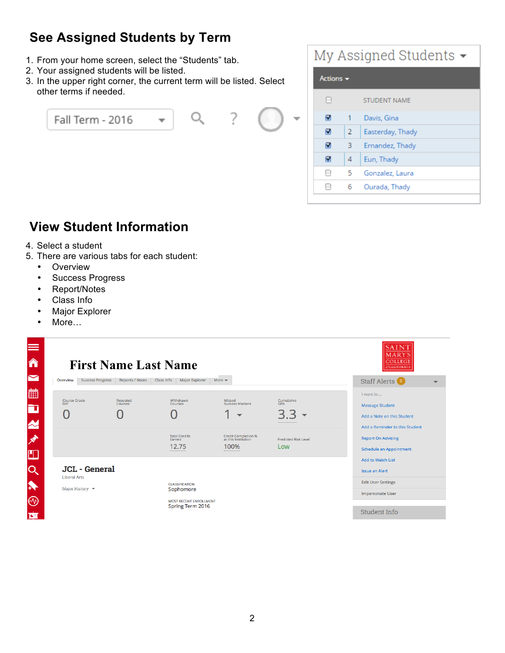## **See Assigned Students by Term**

- 1. From your home screen, select the "Students" tab.
- 2. Your assigned students will be listed.
- 3. In the upper right corner, the current term will be listed. Select other terms if needed.



| My Assigned Students $\blacktriangleright$ |                |                     |  |  |  |
|--------------------------------------------|----------------|---------------------|--|--|--|
| Actions $\blacktriangledown$               |                |                     |  |  |  |
|                                            |                | <b>STUDENT NAME</b> |  |  |  |
| ⊽                                          |                | Davis, Gina         |  |  |  |
| ⊽                                          | $\overline{2}$ | Easterday, Thady    |  |  |  |
| ⊽                                          | з              | Ernandez, Thady     |  |  |  |
| ⊽                                          | 4              | Eun, Thady          |  |  |  |
|                                            | 5              | Gonzalez, Laura     |  |  |  |
|                                            | 6.             | Ourada, Thady       |  |  |  |
|                                            |                |                     |  |  |  |

### **View Student Information**

- 4. Select a student
- 5. There are various tabs for each student:
	- Overview
	- Success Progress
	- Report/Notes
	- Class Info
	- Major Explorer
	- More...

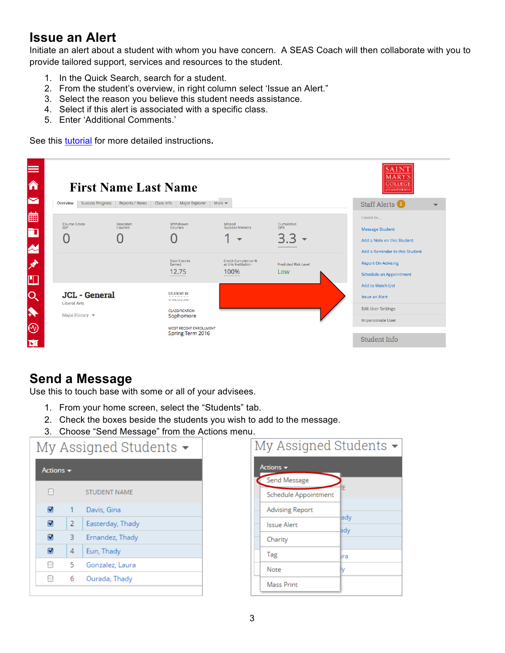### **Issue an Alert**

Initiate an alert about a student with whom you have concern. A SEAS Coach will then collaborate with you to provide tailored support, services and resources to the student.

- 1. In the Quick Search, search for a student.
- 2. From the student's overview, in right column select 'Issue an Alert."
- 3. Select the reason you believe this student needs assistance.
- 4. Select if this alert is associated with a specific class.
- 5. Enter 'Additional Comments.'

See this tutorial for more detailed instructions**.**



#### **Send a Message**

Use this to touch base with some or all of your advisees.

- 1. From your home screen, select the "Students" tab.
- 2. Check the boxes beside the students you wish to add to the message.
- 3. Choose "Send Message" from the Actions menu.

| My Assigned Students $\blacktriangleright$ |                |                     |  |  |
|--------------------------------------------|----------------|---------------------|--|--|
| Actions $\blacktriangledown$               |                |                     |  |  |
| н                                          |                | <b>STUDENT NAME</b> |  |  |
| ⊽                                          | 1              | Davis, Gina         |  |  |
| ⊽                                          | $\overline{2}$ | Easterday, Thady    |  |  |
| ⊽                                          | з              | Ernandez, Thady     |  |  |
| ⊽                                          | 4              | Eun, Thady          |  |  |
|                                            | 5.             | Gonzalez, Laura     |  |  |
|                                            | 6              | Ourada, Thady       |  |  |
|                                            |                |                     |  |  |

| My Assigned Students $\blacktriangleright$ |                        |            |  |  |
|--------------------------------------------|------------------------|------------|--|--|
| Actions $\blacktriangledown$               |                        |            |  |  |
|                                            | Send Message           |            |  |  |
|                                            | Schedule Appointment   |            |  |  |
|                                            | <b>Advising Report</b> |            |  |  |
|                                            | Issue Alert            | ady<br>ady |  |  |
|                                            | Charity                |            |  |  |
| Tag                                        |                        | lıra       |  |  |
| Note                                       |                        |            |  |  |
|                                            | <b>Mass Print</b>      |            |  |  |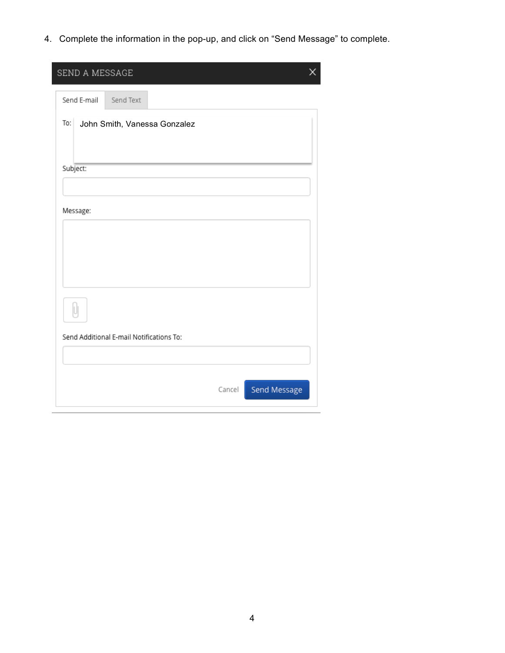4. Complete the information in the pop-up, and click on "Send Message" to complete.

| X<br>SEND A MESSAGE                      |
|------------------------------------------|
| Send E-mail<br>Send Text                 |
| To:<br>John Smith, Vanessa Gonzalez      |
| Subject:                                 |
| Message:                                 |
| IJ                                       |
| Send Additional E-mail Notifications To: |
| Send Message<br>Cancel                   |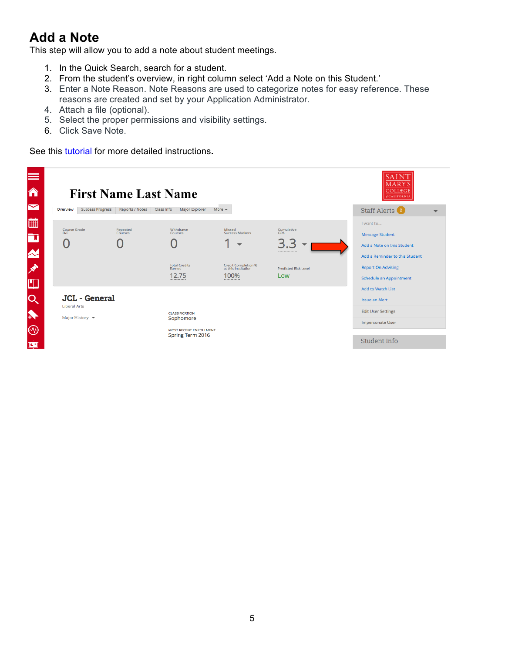### **Add a Note**

This step will allow you to add a note about student meetings.

- 1. In the Quick Search, search for a student.
- 2. From the student's overview, in right column select 'Add a Note on this Student.'
- 3. Enter a Note Reason. Note Reasons are used to categorize notes for easy reference. These reasons are created and set by your Application Administrator.
- 4. Attach a file (optional).
- 5. Select the proper permissions and visibility settings.
- 6. Click Save Note.

See this tutorial for more detailed instructions**.**

| ≡<br>â                |                                             | <b>First Name Last Name</b> |                                                   |                                                   |                             | AIN<br>MARY<br><b>COLLEGE</b><br><b>CALIFORNIA</b> |  |
|-----------------------|---------------------------------------------|-----------------------------|---------------------------------------------------|---------------------------------------------------|-----------------------------|----------------------------------------------------|--|
| ▽                     | <b>Success Progress</b><br>Overview         | <b>Reports / Notes</b>      | Major Explorer<br>Class Info                      | More $\blacktriangleright$                        |                             | Staff Alerts <sup>2</sup>                          |  |
| 曲                     |                                             |                             | Withdrawn                                         | Missed                                            |                             | I want to                                          |  |
| È                     | <b>Course Grade</b><br>D/F                  | Repeated<br><b>Courses</b>  | Courses                                           | <b>Success Markers</b>                            | Cumulative<br><b>GPA</b>    | <b>Message Student</b>                             |  |
|                       | C                                           |                             |                                                   |                                                   | 3.3                         | Add a Note on this Student                         |  |
| $\boldsymbol{\alpha}$ |                                             |                             |                                                   |                                                   |                             | Add a Reminder to this Student                     |  |
| ∦                     |                                             |                             | <b>Total Credits</b><br>Earned                    | <b>Credit Completion %</b><br>at this Institution | <b>Predicted Risk Level</b> | <b>Report On Advising</b>                          |  |
|                       |                                             |                             | 12.75                                             | 100%                                              | Low                         | <b>Schedule an Appointment</b>                     |  |
| M.                    |                                             |                             |                                                   |                                                   |                             | <b>Add to Watch List</b>                           |  |
| Q                     | <b>JCL</b> - General<br><b>Liberal Arts</b> |                             |                                                   |                                                   |                             | <b>Issue an Alert</b>                              |  |
| $\blacklozenge$       | Major History $\blacktriangledown$          |                             | <b>CLASSIFICATION</b>                             |                                                   |                             | <b>Edit User Settings</b>                          |  |
|                       |                                             |                             | Sophomore                                         |                                                   |                             | Impersonate User                                   |  |
| $\circledcirc$        |                                             |                             | <b>MOST RECENT ENROLLMENT</b><br>Spring Term 2016 |                                                   |                             |                                                    |  |
| 堕                     |                                             |                             |                                                   |                                                   |                             | Student Info                                       |  |